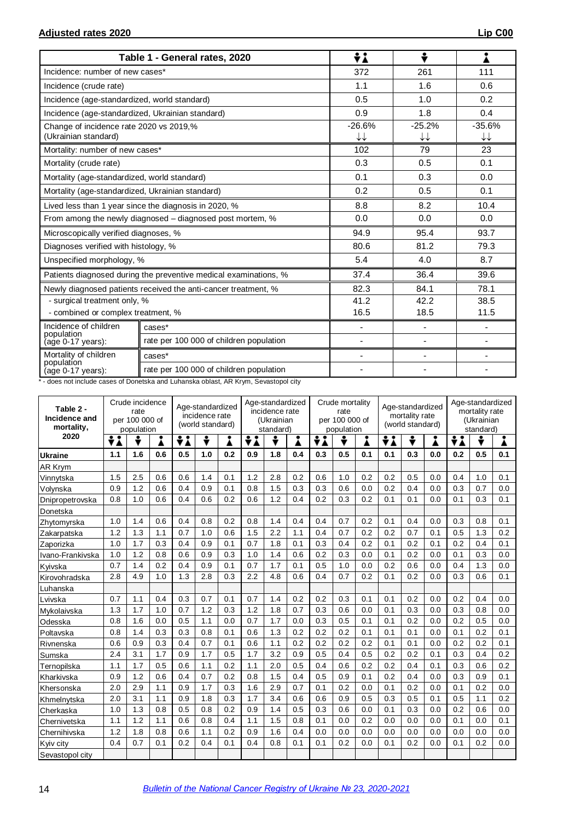|                                                                 | Table 1 - General rates, 2020                                    | ÷ί                                 | ÷                            | ı              |  |
|-----------------------------------------------------------------|------------------------------------------------------------------|------------------------------------|------------------------------|----------------|--|
| Incidence: number of new cases*                                 |                                                                  | 372                                | 261                          | 111            |  |
| Incidence (crude rate)                                          |                                                                  | 1.1                                | 1.6                          | 0.6            |  |
| Incidence (age-standardized, world standard)                    |                                                                  | 0.5                                | 1.0                          | 0.2            |  |
| Incidence (age-standardized, Ukrainian standard)                |                                                                  | 0.9                                | 1.8                          | 0.4            |  |
| Change of incidence rate 2020 vs 2019,%<br>(Ukrainian standard) |                                                                  | $-26.6%$<br>$\downarrow\downarrow$ | $-25.2%$<br>↓↓               | $-35.6%$<br>↓↓ |  |
| Mortality: number of new cases*                                 |                                                                  | 102                                | 79                           | 23             |  |
| Mortality (crude rate)                                          |                                                                  | 0.3                                | 0.5                          | 0.1            |  |
| Mortality (age-standardized, world standard)                    |                                                                  | 0.1                                | 0.3                          | 0.0            |  |
| Mortality (age-standardized, Ukrainian standard)                |                                                                  | 0.2                                | 0.5                          | 0.1            |  |
|                                                                 | Lived less than 1 year since the diagnosis in 2020, %            | 8.8                                | 8.2                          | 10.4           |  |
|                                                                 | From among the newly diagnosed – diagnosed post mortem, %        | 0.0                                | 0.0                          | 0.0            |  |
| Microscopically verified diagnoses, %                           |                                                                  | 94.9                               | 95.4                         | 93.7           |  |
| Diagnoses verified with histology, %                            |                                                                  | 80.6                               | 81.2                         | 79.3           |  |
| Unspecified morphology, %                                       |                                                                  | 5.4                                | 4.0                          | 8.7            |  |
|                                                                 | Patients diagnosed during the preventive medical examinations, % | 37.4                               | 36.4                         | 39.6           |  |
|                                                                 | Newly diagnosed patients received the anti-cancer treatment, %   | 82.3                               | 84.1                         | 78.1           |  |
| - surgical treatment only, %                                    |                                                                  | 41.2                               | 42.2<br>38.5                 |                |  |
| - combined or complex treatment, %                              |                                                                  | 16.5                               | 18.5                         | 11.5           |  |
| Incidence of children<br>population                             | cases*                                                           | $\blacksquare$                     | $\overline{\phantom{0}}$     |                |  |
| (age 0-17 years):                                               | rate per 100 000 of children population                          | $\overline{\phantom{a}}$           | $\qquad \qquad \blacksquare$ |                |  |
| Mortality of children                                           | cases*                                                           | $\overline{\phantom{a}}$           | $\overline{\phantom{0}}$     |                |  |
| population<br>(age 0-17 years):                                 | rate per 100 000 of children population                          |                                    |                              |                |  |

\* - does not include cases of Donetska and Luhanska oblast, AR Krym, Sevastopol city

| Table 2 -<br>Incidence and<br>mortality, | Crude incidence<br>rate<br>per 100 000 of<br>population |     |     | Age-standardized<br>incidence rate<br>(world standard) |     |     | Age-standardized<br>incidence rate<br>(Ukrainian<br>standard) |     |     | Crude mortality<br>rate<br>per 100 000 of<br>population |     |     | Age-standardized<br>mortality rate<br>(world standard) |     |     | Age-standardized<br>mortality rate<br>(Ukrainian<br>standard) |     |     |
|------------------------------------------|---------------------------------------------------------|-----|-----|--------------------------------------------------------|-----|-----|---------------------------------------------------------------|-----|-----|---------------------------------------------------------|-----|-----|--------------------------------------------------------|-----|-----|---------------------------------------------------------------|-----|-----|
| 2020                                     | ÷i                                                      | ÷   |     | ÷i                                                     | Ŷ   | Å   | ÷i                                                            | ÷   | Å   | ÷λ                                                      |     | Å   | ÷i                                                     | ÷   | Â   | ÷i                                                            |     | i   |
| <b>Ukraine</b>                           | 1.1                                                     | 1.6 | 0.6 | 0.5                                                    | 1.0 | 0.2 | 0.9                                                           | 1.8 | 0.4 | 0.3                                                     | 0.5 | 0.1 | 0.1                                                    | 0.3 | 0.0 | 0.2                                                           | 0.5 | 0.1 |
| <b>AR Krym</b>                           |                                                         |     |     |                                                        |     |     |                                                               |     |     |                                                         |     |     |                                                        |     |     |                                                               |     |     |
| Vinnytska                                | 1.5                                                     | 2.5 | 0.6 | 0.6                                                    | 1.4 | 0.1 | 1.2                                                           | 2.8 | 0.2 | 0.6                                                     | 1.0 | 0.2 | 0.2                                                    | 0.5 | 0.0 | 0.4                                                           | 1.0 | 0.1 |
| Volynska                                 | 0.9                                                     | 1.2 | 0.6 | 0.4                                                    | 0.9 | 0.1 | 0.8                                                           | 1.5 | 0.3 | 0.3                                                     | 0.6 | 0.0 | 0.2                                                    | 0.4 | 0.0 | 0.3                                                           | 0.7 | 0.0 |
| Dnipropetrovska                          | 0.8                                                     | 1.0 | 0.6 | 0.4                                                    | 0.6 | 0.2 | 0.6                                                           | 1.2 | 0.4 | 0.2                                                     | 0.3 | 0.2 | 0.1                                                    | 0.1 | 0.0 | 0.1                                                           | 0.3 | 0.1 |
| Donetska                                 |                                                         |     |     |                                                        |     |     |                                                               |     |     |                                                         |     |     |                                                        |     |     |                                                               |     |     |
| Zhytomyrska                              | 1.0                                                     | 1.4 | 0.6 | 0.4                                                    | 0.8 | 0.2 | 0.8                                                           | 1.4 | 0.4 | 0.4                                                     | 0.7 | 0.2 | 0.1                                                    | 0.4 | 0.0 | 0.3                                                           | 0.8 | 0.1 |
| Zakarpatska                              | 1.2                                                     | 1.3 | 1.1 | 0.7                                                    | 1.0 | 0.6 | 1.5                                                           | 2.2 | 1.1 | 0.4                                                     | 0.7 | 0.2 | 0.2                                                    | 0.7 | 0.1 | 0.5                                                           | 1.3 | 0.2 |
| Zaporizka                                | 1.0                                                     | 1.7 | 0.3 | 0.4                                                    | 0.9 | 0.1 | 0.7                                                           | 1.8 | 0.1 | 0.3                                                     | 0.4 | 0.2 | 0.1                                                    | 0.2 | 0.1 | 0.2                                                           | 0.4 | 0.1 |
| Ivano-Frankivska                         | 1.0                                                     | 1.2 | 0.8 | 0.6                                                    | 0.9 | 0.3 | 1.0                                                           | 1.4 | 0.6 | 0.2                                                     | 0.3 | 0.0 | 0.1                                                    | 0.2 | 0.0 | 0.1                                                           | 0.3 | 0.0 |
| Kyivska                                  | 0.7                                                     | 1.4 | 0.2 | 0.4                                                    | 0.9 | 0.1 | 0.7                                                           | 1.7 | 0.1 | 0.5                                                     | 1.0 | 0.0 | 0.2                                                    | 0.6 | 0.0 | 0.4                                                           | 1.3 | 0.0 |
| Kirovohradska                            | 2.8                                                     | 4.9 | 1.0 | 1.3                                                    | 2.8 | 0.3 | 2.2                                                           | 4.8 | 0.6 | 0.4                                                     | 0.7 | 0.2 | 0.1                                                    | 0.2 | 0.0 | 0.3                                                           | 0.6 | 0.1 |
| Luhanska                                 |                                                         |     |     |                                                        |     |     |                                                               |     |     |                                                         |     |     |                                                        |     |     |                                                               |     |     |
| Lvivska                                  | 0.7                                                     | 1.1 | 0.4 | 0.3                                                    | 0.7 | 0.1 | 0.7                                                           | 1.4 | 0.2 | 0.2                                                     | 0.3 | 0.1 | 0.1                                                    | 0.2 | 0.0 | 0.2                                                           | 0.4 | 0.0 |
| Mvkolaivska                              | 1.3                                                     | 1.7 | 1.0 | 0.7                                                    | 1.2 | 0.3 | 1.2                                                           | 1.8 | 0.7 | 0.3                                                     | 0.6 | 0.0 | 0.1                                                    | 0.3 | 0.0 | 0.3                                                           | 0.8 | 0.0 |
| Odesska                                  | 0.8                                                     | 1.6 | 0.0 | 0.5                                                    | 1.1 | 0.0 | 0.7                                                           | 1.7 | 0.0 | 0.3                                                     | 0.5 | 0.1 | 0.1                                                    | 0.2 | 0.0 | 0.2                                                           | 0.5 | 0.0 |
| Poltavska                                | 0.8                                                     | 1.4 | 0.3 | 0.3                                                    | 0.8 | 0.1 | 0.6                                                           | 1.3 | 0.2 | 0.2                                                     | 0.2 | 0.1 | 0.1                                                    | 0.1 | 0.0 | 0.1                                                           | 0.2 | 0.1 |
| Rivnenska                                | 0.6                                                     | 0.9 | 0.3 | 0.4                                                    | 0.7 | 0.1 | 0.6                                                           | 1.1 | 0.2 | 0.2                                                     | 0.2 | 0.2 | 0.1                                                    | 0.1 | 0.0 | 0.2                                                           | 0.2 | 0.1 |
| Sumska                                   | 2.4                                                     | 3.1 | 1.7 | 0.9                                                    | 1.7 | 0.5 | 1.7                                                           | 3.2 | 0.9 | 0.5                                                     | 0.4 | 0.5 | 0.2                                                    | 0.2 | 0.1 | 0.3                                                           | 0.4 | 0.2 |
| Ternopilska                              | 1.1                                                     | 1.7 | 0.5 | 0.6                                                    | 1.1 | 0.2 | 1.1                                                           | 2.0 | 0.5 | 0.4                                                     | 0.6 | 0.2 | 0.2                                                    | 0.4 | 0.1 | 0.3                                                           | 0.6 | 0.2 |
| Kharkivska                               | 0.9                                                     | 1.2 | 0.6 | 0.4                                                    | 0.7 | 0.2 | 0.8                                                           | 1.5 | 0.4 | 0.5                                                     | 0.9 | 0.1 | 0.2                                                    | 0.4 | 0.0 | 0.3                                                           | 0.9 | 0.1 |
| Khersonska                               | 2.0                                                     | 2.9 | 1.1 | 0.9                                                    | 1.7 | 0.3 | 1.6                                                           | 2.9 | 0.7 | 0.1                                                     | 0.2 | 0.0 | 0.1                                                    | 0.2 | 0.0 | 0.1                                                           | 0.2 | 0.0 |
| Khmelnytska                              | 2.0                                                     | 3.1 | 1.1 | 0.9                                                    | 1.8 | 0.3 | 1.7                                                           | 3.4 | 0.6 | 0.6                                                     | 0.9 | 0.5 | 0.3                                                    | 0.5 | 0.1 | 0.5                                                           | 1.1 | 0.2 |
| Cherkaska                                | 1.0                                                     | 1.3 | 0.8 | 0.5                                                    | 0.8 | 0.2 | 0.9                                                           | 1.4 | 0.5 | 0.3                                                     | 0.6 | 0.0 | 0.1                                                    | 0.3 | 0.0 | 0.2                                                           | 0.6 | 0.0 |
| Chernivetska                             | 1.1                                                     | 1.2 | 1.1 | 0.6                                                    | 0.8 | 0.4 | 1.1                                                           | 1.5 | 0.8 | 0.1                                                     | 0.0 | 0.2 | 0.0                                                    | 0.0 | 0.0 | 0.1                                                           | 0.0 | 0.1 |
| Chernihivska                             | 1.2                                                     | 1.8 | 0.8 | 0.6                                                    | 1.1 | 0.2 | 0.9                                                           | 1.6 | 0.4 | 0.0                                                     | 0.0 | 0.0 | 0.0                                                    | 0.0 | 0.0 | 0.0                                                           | 0.0 | 0.0 |
| Kyiv city                                | 0.4                                                     | 0.7 | 0.1 | 0.2                                                    | 0.4 | 0.1 | 0.4                                                           | 0.8 | 0.1 | 0.1                                                     | 0.2 | 0.0 | 0.1                                                    | 0.2 | 0.0 | 0.1                                                           | 0.2 | 0.0 |
| Sevastopol city                          |                                                         |     |     |                                                        |     |     |                                                               |     |     |                                                         |     |     |                                                        |     |     |                                                               |     |     |